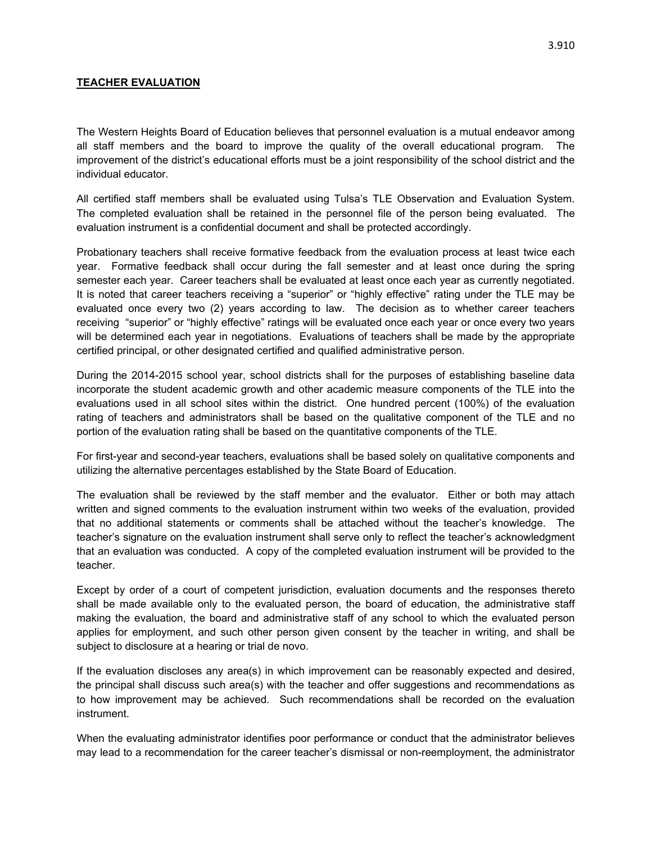## **TEACHER EVALUATION**

The Western Heights Board of Education believes that personnel evaluation is a mutual endeavor among all staff members and the board to improve the quality of the overall educational program. The improvement of the district's educational efforts must be a joint responsibility of the school district and the individual educator.

All certified staff members shall be evaluated using Tulsa's TLE Observation and Evaluation System. The completed evaluation shall be retained in the personnel file of the person being evaluated. The evaluation instrument is a confidential document and shall be protected accordingly.

Probationary teachers shall receive formative feedback from the evaluation process at least twice each year. Formative feedback shall occur during the fall semester and at least once during the spring semester each year. Career teachers shall be evaluated at least once each year as currently negotiated. It is noted that career teachers receiving a "superior" or "highly effective" rating under the TLE may be evaluated once every two (2) years according to law. The decision as to whether career teachers receiving "superior" or "highly effective" ratings will be evaluated once each year or once every two years will be determined each year in negotiations. Evaluations of teachers shall be made by the appropriate certified principal, or other designated certified and qualified administrative person.

During the 2014-2015 school year, school districts shall for the purposes of establishing baseline data incorporate the student academic growth and other academic measure components of the TLE into the evaluations used in all school sites within the district. One hundred percent (100%) of the evaluation rating of teachers and administrators shall be based on the qualitative component of the TLE and no portion of the evaluation rating shall be based on the quantitative components of the TLE.

For first-year and second-year teachers, evaluations shall be based solely on qualitative components and utilizing the alternative percentages established by the State Board of Education.

The evaluation shall be reviewed by the staff member and the evaluator. Either or both may attach written and signed comments to the evaluation instrument within two weeks of the evaluation, provided that no additional statements or comments shall be attached without the teacher's knowledge. The teacher's signature on the evaluation instrument shall serve only to reflect the teacher's acknowledgment that an evaluation was conducted. A copy of the completed evaluation instrument will be provided to the teacher.

Except by order of a court of competent jurisdiction, evaluation documents and the responses thereto shall be made available only to the evaluated person, the board of education, the administrative staff making the evaluation, the board and administrative staff of any school to which the evaluated person applies for employment, and such other person given consent by the teacher in writing, and shall be subject to disclosure at a hearing or trial de novo.

If the evaluation discloses any area(s) in which improvement can be reasonably expected and desired, the principal shall discuss such area(s) with the teacher and offer suggestions and recommendations as to how improvement may be achieved. Such recommendations shall be recorded on the evaluation instrument.

When the evaluating administrator identifies poor performance or conduct that the administrator believes may lead to a recommendation for the career teacher's dismissal or non-reemployment, the administrator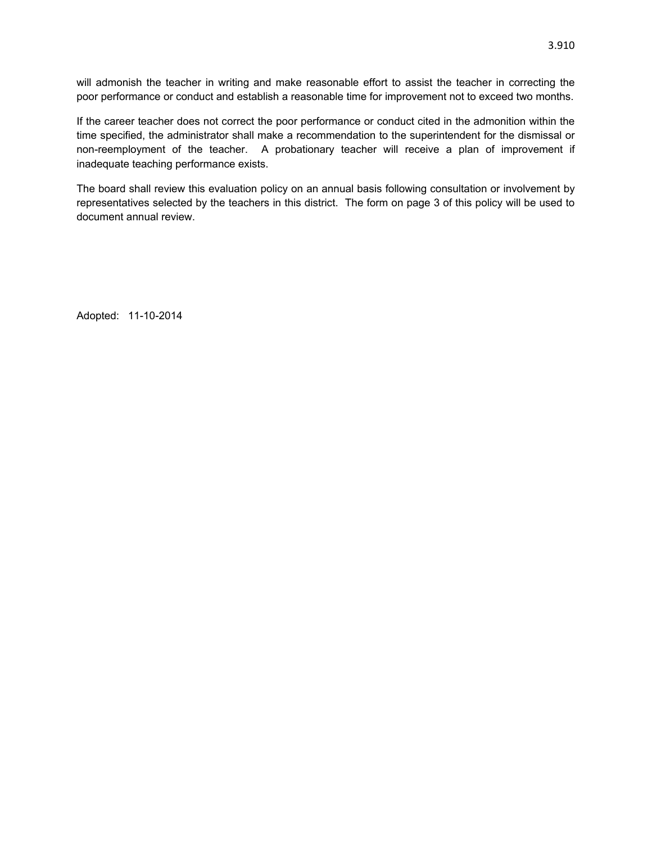will admonish the teacher in writing and make reasonable effort to assist the teacher in correcting the poor performance or conduct and establish a reasonable time for improvement not to exceed two months.

If the career teacher does not correct the poor performance or conduct cited in the admonition within the time specified, the administrator shall make a recommendation to the superintendent for the dismissal or non-reemployment of the teacher. A probationary teacher will receive a plan of improvement if inadequate teaching performance exists.

The board shall review this evaluation policy on an annual basis following consultation or involvement by representatives selected by the teachers in this district. The form on page 3 of this policy will be used to document annual review.

Adopted: 11-10-2014